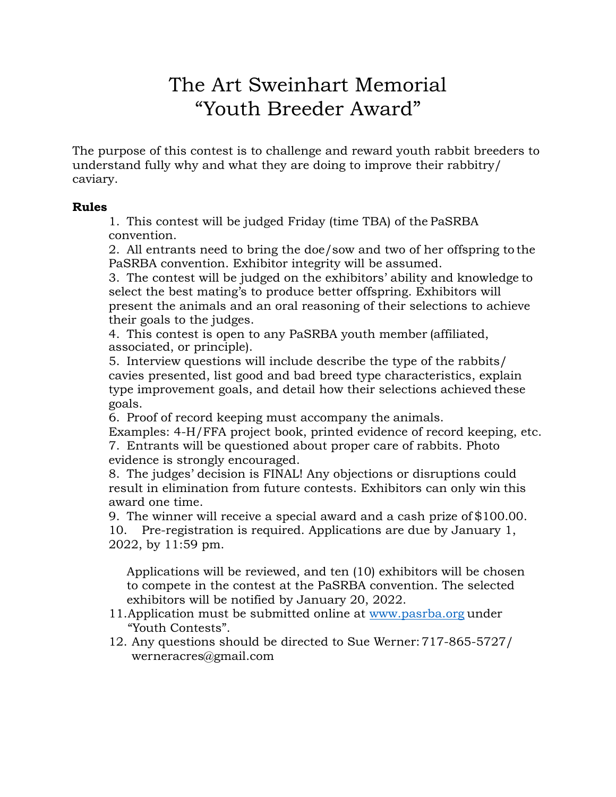## The Art Sweinhart Memorial "Youth Breeder Award"

The purpose of this contest is to challenge and reward youth rabbit breeders to understand fully why and what they are doing to improve their rabbitry/ caviary.

## **Rules**

1. This contest will be judged Friday (time TBA) of the PaSRBA convention.

2. All entrants need to bring the doe/sow and two of her offspring to the PaSRBA convention. Exhibitor integrity will be assumed.

3. The contest will be judged on the exhibitors' ability and knowledge to select the best mating's to produce better offspring. Exhibitors will present the animals and an oral reasoning of their selections to achieve their goals to the judges.

4. This contest is open to any PaSRBA youth member (affiliated, associated, or principle).

5. Interview questions will include describe the type of the rabbits/ cavies presented, list good and bad breed type characteristics, explain type improvement goals, and detail how their selections achieved these goals.

6. Proof of record keeping must accompany the animals.

Examples: 4-H/FFA project book, printed evidence of record keeping, etc. 7. Entrants will be questioned about proper care of rabbits. Photo evidence is strongly encouraged.

8. The judges' decision is FINAL! Any objections or disruptions could result in elimination from future contests. Exhibitors can only win this award one time.

9. The winner will receive a special award and a cash prize of \$100.00. 10. Pre-registration is required. Applications are due by January 1, 2022, by 11:59 pm.

Applications will be reviewed, and ten (10) exhibitors will be chosen to compete in the contest at the PaSRBA convention. The selected exhibitors will be notified by January 20, 2022.

- 11. Application must be submitted online at [www.pasrba.org](http://www.pasrba.org/) under "Youth Contests".
- 12. Any questions should be directed to Sue Werner:717-865-5727/ [werneracr](mailto:werneracres@gmail.com)[es@gmail.com](mailto:es@gmail.com)